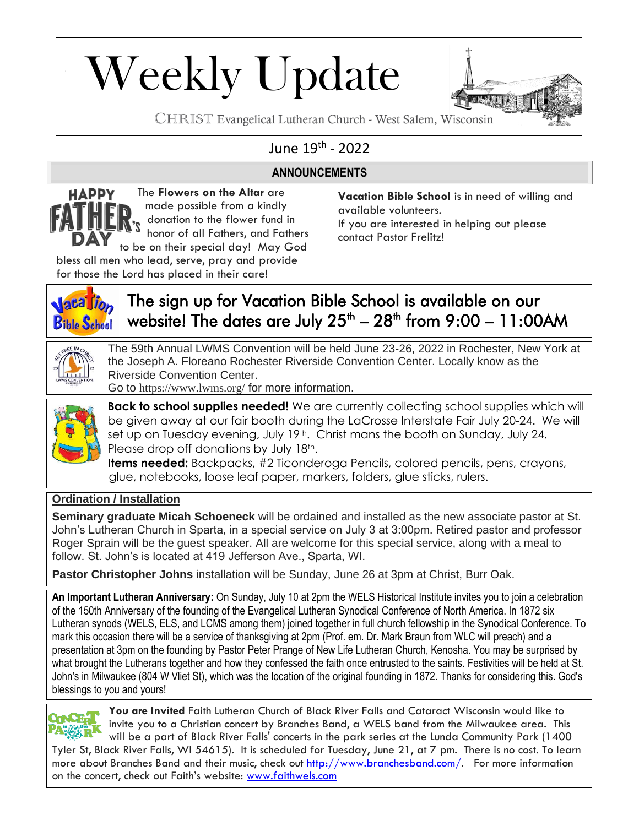# Weekly Update



CHRIST Evangelical Lutheran Church - West Salem, Wisconsin

### June 19<sup>th</sup> - 2022

#### **ANNOUNCEMENTS**

The **Flowers on the Altar** are **HAPPY** made possible from a kindly donation to the flower fund in honor of all Fathers, and Fathers to be on their special day! May God

**Vacation Bible School** is in need of willing and available volunteers.

If you are interested in helping out please contact Pastor Frelitz!

bless all men who lead, serve, pray and provide for those the Lord has placed in their care!



# The sign up for Vacation Bible School is available on our website! The dates are July 25<sup>th</sup> – 28<sup>th</sup> from 9:00 – 11:00AM

The 59th Annual LWMS Convention will be held June 23-26, 2022 in Rochester, New York at the Joseph A. Floreano Rochester Riverside Convention Center. Locally know as the Riverside Convention Center.

Go to <https://www.lwms.org/> for more information.



**Back to school supplies needed!** We are currently collecting school supplies which will be given away at our fair booth during the LaCrosse Interstate Fair July 20-24. We will set up on Tuesday evening, July 19<sup>th</sup>. Christ mans the booth on Sunday, July 24. Please drop off donations by July 18th.

**Items needed:** Backpacks, #2 Ticonderoga Pencils, colored pencils, pens, crayons, glue, notebooks, loose leaf paper, markers, folders, glue sticks, rulers.

#### **Ordination / Installation**

**Seminary graduate Micah Schoeneck** will be ordained and installed as the new associate pastor at St. John's Lutheran Church in Sparta, in a special service on July 3 at 3:00pm. Retired pastor and professor Roger Sprain will be the guest speaker. All are welcome for this special service, along with a meal to follow. St. John's is located at 419 Jefferson Ave., Sparta, WI.

**Pastor Christopher Johns** installation will be Sunday, June 26 at 3pm at Christ, Burr Oak.

**An Important Lutheran Anniversary:** On Sunday, July 10 at 2pm the WELS Historical Institute invites you to join a celebration of the 150th Anniversary of the founding of the Evangelical Lutheran Synodical Conference of North America. In 1872 six Lutheran synods (WELS, ELS, and LCMS among them) joined together in full church fellowship in the Synodical Conference. To mark this occasion there will be a service of thanksgiving at 2pm (Prof. em. Dr. Mark Braun from WLC will preach) and a presentation at 3pm on the founding by Pastor Peter Prange of New Life Lutheran Church, Kenosha. You may be surprised by what brought the Lutherans together and how they confessed the faith once entrusted to the saints. Festivities will be held at St. John's in Milwaukee (804 W Vliet St), which was the location of the original founding in 1872. Thanks for considering this. God's blessings to you and yours!



**You are Invited** Faith Lutheran Church of Black River Falls and Cataract Wisconsin would like to invite you to a Christian concert by Branches Band, a WELS band from the Milwaukee area. This will be a part of Black River Falls' concerts in the park series at the Lunda Community Park (1400

Tyler St, Black River Falls, WI 54615). It is scheduled for Tuesday, June 21, at 7 pm. There is no cost. To learn more about Branches Band and their music, check out [http://www.branchesband.com/.](http://www.branchesband.com/) For more information on the concert, check out Faith's website: [www.faithwels.com](http://www.faithwels.com/)